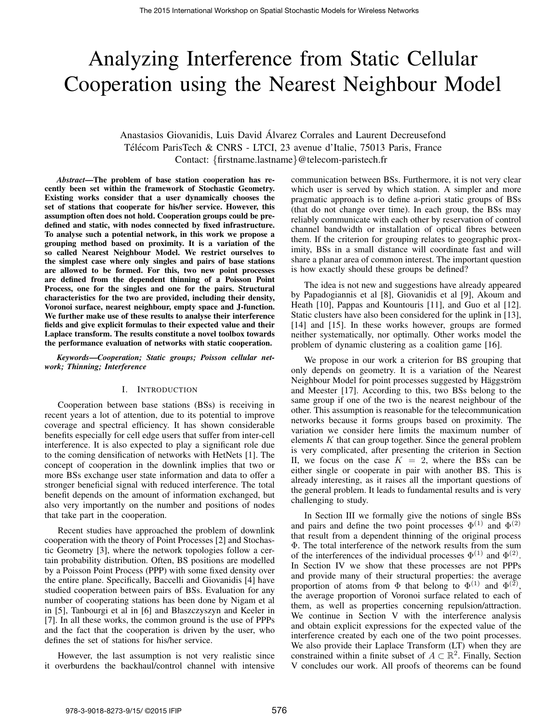# Analyzing Interference from Static Cellular Cooperation using the Nearest Neighbour Model

# Anastasios Giovanidis, Luis David Alvarez Corrales and Laurent Decreusefond ´ Télécom ParisTech & CNRS - LTCI, 23 avenue d'Italie, 75013 Paris, France Contact: {firstname.lastname}@telecom-paristech.fr

*Abstract*—The problem of base station cooperation has recently been set within the framework of Stochastic Geometry. Existing works consider that a user dynamically chooses the set of stations that cooperate for his/her service. However, this assumption often does not hold. Cooperation groups could be predefined and static, with nodes connected by fixed infrastructure. To analyse such a potential network, in this work we propose a grouping method based on proximity. It is a variation of the so called Nearest Neighbour Model. We restrict ourselves to the simplest case where only singles and pairs of base stations are allowed to be formed. For this, two new point processes are defined from the dependent thinning of a Poisson Point Process, one for the singles and one for the pairs. Structural characteristics for the two are provided, including their density, Voronoi surface, nearest neighbour, empty space and J-function. We further make use of these results to analyse their interference fields and give explicit formulas to their expected value and their Laplace transform. The results constitute a novel toolbox towards the performance evaluation of networks with static cooperation.

*Keywords*—*Cooperation; Static groups; Poisson cellular network; Thinning; Interference*

# I. INTRODUCTION

Cooperation between base stations (BSs) is receiving in recent years a lot of attention, due to its potential to improve coverage and spectral efficiency. It has shown considerable benefits especially for cell edge users that suffer from inter-cell interference. It is also expected to play a significant role due to the coming densification of networks with HetNets [1]. The concept of cooperation in the downlink implies that two or more BSs exchange user state information and data to offer a stronger beneficial signal with reduced interference. The total benefit depends on the amount of information exchanged, but also very importantly on the number and positions of nodes that take part in the cooperation.

Recent studies have approached the problem of downlink cooperation with the theory of Point Processes [2] and Stochastic Geometry [3], where the network topologies follow a certain probability distribution. Often, BS positions are modelled by a Poisson Point Process (PPP) with some fixed density over the entire plane. Specifically, Baccelli and Giovanidis [4] have studied cooperation between pairs of BSs. Evaluation for any number of cooperating stations has been done by Nigam et al in [5], Tanbourgi et al in [6] and Błaszczyszyn and Keeler in [7]. In all these works, the common ground is the use of PPPs and the fact that the cooperation is driven by the user, who defines the set of stations for his/her service.

However, the last assumption is not very realistic since it overburdens the backhaul/control channel with intensive communication between BSs. Furthermore, it is not very clear which user is served by which station. A simpler and more pragmatic approach is to define a-priori static groups of BSs (that do not change over time). In each group, the BSs may reliably communicate with each other by reservation of control channel bandwidth or installation of optical fibres between them. If the criterion for grouping relates to geographic proximity, BSs in a small distance will coordinate fast and will share a planar area of common interest. The important question is how exactly should these groups be defined?

The idea is not new and suggestions have already appeared by Papadogiannis et al [8], Giovanidis et al [9], Akoum and Heath [10], Pappas and Kountouris [11], and Guo et al [12]. Static clusters have also been considered for the uplink in [13], [14] and [15]. In these works however, groups are formed neither systematically, nor optimally. Other works model the problem of dynamic clustering as a coalition game [16].

We propose in our work a criterion for BS grouping that only depends on geometry. It is a variation of the Nearest Neighbour Model for point processes suggested by Häggström and Meester [17]. According to this, two BSs belong to the same group if one of the two is the nearest neighbour of the other. This assumption is reasonable for the telecommunication networks because it forms groups based on proximity. The variation we consider here limits the maximum number of elements  $K$  that can group together. Since the general problem is very complicated, after presenting the criterion in Section II, we focus on the case  $K = 2$ , where the BSs can be either single or cooperate in pair with another BS. This is already interesting, as it raises all the important questions of the general problem. It leads to fundamental results and is very challenging to study.

In Section III we formally give the notions of single BSs and pairs and define the two point processes  $\Phi^{(1)}$  and  $\Phi^{(2)}$ that result from a dependent thinning of the original process Φ. The total interference of the network results from the sum of the interferences of the individual processes  $\Phi^{(1)}$  and  $\Phi^{(2)}$ . In Section IV we show that these processes are not PPPs and provide many of their structural properties: the average proportion of atoms from  $\Phi$  that belong to  $\Phi^{(1)}$  and  $\Phi^{(\bar{2})}$ , the average proportion of Voronoi surface related to each of them, as well as properties concerning repulsion/attraction. We continue in Section V with the interference analysis and obtain explicit expressions for the expected value of the interference created by each one of the two point processes. We also provide their Laplace Transform (LT) when they are constrained within a finite subset of  $A \subset \mathbb{R}^2$ . Finally, Section V concludes our work. All proofs of theorems can be found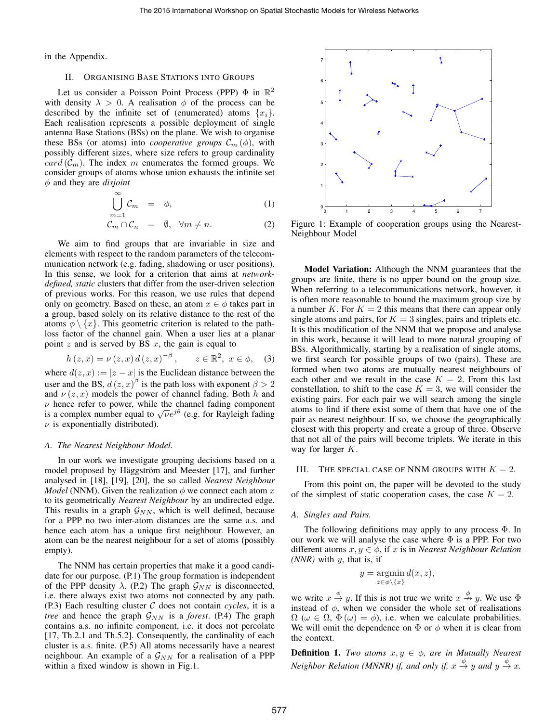in the Appendix.

## II. ORGANISING BASE STATIONS INTO GROUPS

Let us consider a Poisson Point Process (PPP)  $\Phi$  in  $\mathbb{R}^2$ with density  $\lambda > 0$ . A realisation  $\phi$  of the process can be described by the infinite set of (enumerated) atoms  $\{x_i\}$ . Each realisation represents a possible deployment of single antenna Base Stations (BSs) on the plane. We wish to organise these BSs (or atoms) into *cooperative groups*  $\mathcal{C}_m(\phi)$ , with possibly different sizes, where size refers to group cardinality  $card (\mathcal{C}_m)$ . The index m enumerates the formed groups. We consider groups of atoms whose union exhausts the infinite set φ and they are *disjoint*

$$
\bigcup_{m=1}^{\infty} \mathcal{C}_m = \phi, \tag{1}
$$

$$
\stackrel{m}{\mathcal{C}_m} \cap \stackrel{1}{\mathcal{C}_n} = \emptyset, \quad \forall m \neq n. \tag{2}
$$

We aim to find groups that are invariable in size and elements with respect to the random parameters of the telecommunication network (e.g. fading, shadowing or user positions). In this sense, we look for a criterion that aims at *networkdefined, static* clusters that differ from the user-driven selection of previous works. For this reason, we use rules that depend only on geometry. Based on these, an atom  $x \in \phi$  takes part in a group, based solely on its relative distance to the rest of the atoms  $\phi \setminus \{x\}$ . This geometric criterion is related to the pathloss factor of the channel gain. When a user lies at a planar point  $z$  and is served by BS  $x$ , the gain is equal to

$$
h(z, x) = \nu(z, x) d(z, x)^{-\beta}, \quad z \in \mathbb{R}^2, x \in \phi,
$$
 (3)

where  $d(z, x) := |z - x|$  is the Euclidean distance between the user and the BS,  $d(z, x)$ <sup>β</sup> is the path loss with exponent  $\beta > 2$ and  $\nu(z, x)$  models the power of channel fading. Both h and  $\nu$  hence refer to power, while the channel fading component  $\nu$  nence refer to power, while the channel fading component<br>is a complex number equal to  $\sqrt{\nu}e^{j\theta}$  (e.g. for Rayleigh fading  $\nu$  is exponentially distributed).

## *A. The Nearest Neighbour Model.*

In our work we investigate grouping decisions based on a model proposed by Häggström and Meester [17], and further analysed in [18], [19], [20], the so called *Nearest Neighbour Model* (NNM). Given the realization  $\phi$  we connect each atom x to its geometrically *Nearest Neighbour* by an undirected edge. This results in a graph  $\mathcal{G}_{NN}$ , which is well defined, because for a PPP no two inter-atom distances are the same a.s. and hence each atom has a unique first neighbour. However, an atom can be the nearest neighbour for a set of atoms (possibly empty).

The NNM has certain properties that make it a good candidate for our purpose. (P.1) The group formation is independent of the PPP density  $\lambda$ . (P.2) The graph  $\mathcal{G}_{NN}$  is disconnected, i.e. there always exist two atoms not connected by any path. (P.3) Each resulting cluster C does not contain *cycles*, it is a *tree* and hence the graph  $\mathcal{G}_{NN}$  is a *forest*. (P.4) The graph contains a.s. no infinite component, i.e. it does not percolate [17, Th.2.1 and Th.5.2]. Consequently, the cardinality of each cluster is a.s. finite. (P.5) All atoms necessarily have a nearest neighbour. An example of a  $\mathcal{G}_{NN}$  for a realisation of a PPP within a fixed window is shown in Fig.1.



Figure 1: Example of cooperation groups using the Nearest-Neighbour Model

Model Variation: Although the NNM guarantees that the groups are finite, there is no upper bound on the group size. When referring to a telecommunications network, however, it is often more reasonable to bound the maximum group size by a number K. For  $K = 2$  this means that there can appear only single atoms and pairs, for  $K = 3$  singles, pairs and triplets etc. It is this modification of the NNM that we propose and analyse in this work, because it will lead to more natural grouping of BSs. Algorithmically, starting by a realisation of single atoms, we first search for possible groups of two (pairs). These are formed when two atoms are mutually nearest neighbours of each other and we result in the case  $K = 2$ . From this last constellation, to shift to the case  $K = 3$ , we will consider the existing pairs. For each pair we will search among the single atoms to find if there exist some of them that have one of the pair as nearest neighbour. If so, we choose the geographically closest with this property and create a group of three. Observe that not all of the pairs will become triplets. We iterate in this way for larger K.

#### III. THE SPECIAL CASE OF NNM GROUPS WITH  $K = 2$ .

From this point on, the paper will be devoted to the study of the simplest of static cooperation cases, the case  $K = 2$ .

#### *A. Singles and Pairs.*

The following definitions may apply to any process Φ. In our work we will analyse the case where  $\Phi$  is a PPP. For two different atoms  $x, y \in \phi$ , if x is in *Nearest Neighbour Relation (NNR)* with y, that is, if

$$
y = \operatorname*{argmin}_{z \in \phi \setminus \{x\}} d(x, z),
$$

we write  $x \stackrel{\phi}{\rightarrow} y$ . If this is not true we write  $x \stackrel{\phi}{\rightarrow} y$ . We use  $\Phi$ instead of  $\phi$ , when we consider the whole set of realisations  $\Omega$  ( $\omega \in \Omega$ ,  $\Phi(\omega) = \phi$ ), i.e. when we calculate probabilities. We will omit the dependence on  $\Phi$  or  $\phi$  when it is clear from the context.

**Definition 1.** *Two atoms*  $x, y \in \phi$ , *are in Mutually Nearest Neighbor Relation (MNNR) if, and only if,*  $x \stackrel{\phi}{\rightarrow} y$  *and*  $y \stackrel{\phi}{\rightarrow} x$ .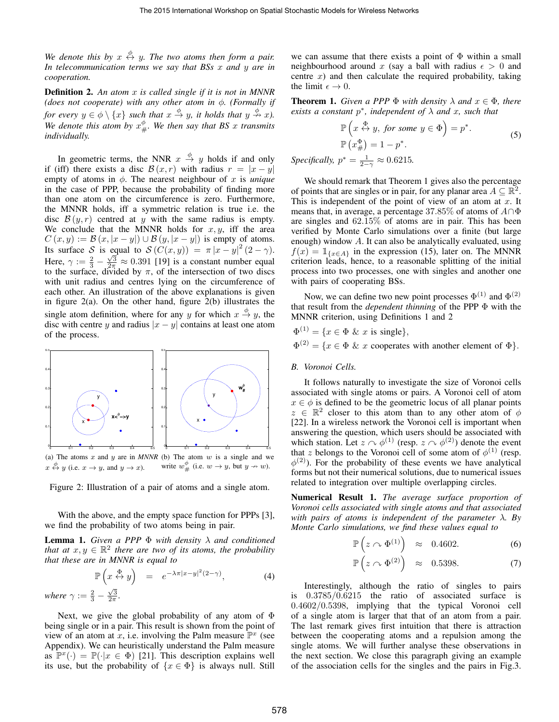We denote this by  $x \stackrel{\phi}{\leftrightarrow} y$ . The two atoms then form a pair. *In telecommunication terms we say that BSs* x *and* y *are in cooperation.*

Definition 2. *An atom* x *is called single if it is not in MNNR (does not cooperate) with any other atom in* φ*. (Formally if for every*  $y \in \phi \setminus \{x\}$  *such that*  $x \stackrel{\phi}{\to} y$ *, it holds that*  $y \stackrel{\phi}{\to} x$ *).* We denote this atom by  $x^{\phi}_{\#}$ . We then say that BS x transmits *individually.*

In geometric terms, the NNR  $x \stackrel{\phi}{\rightarrow} y$  holds if and only if (iff) there exists a disc  $\mathcal{B}(x,r)$  with radius  $r = |x - y|$ empty of atoms in  $\phi$ . The nearest neighbour of x is *unique* in the case of PPP, because the probability of finding more than one atom on the circumference is zero. Furthermore, the MNNR holds, iff a symmetric relation is true i.e. the disc  $\mathcal{B}(y,r)$  centred at y with the same radius is empty. We conclude that the MNNR holds for  $x, y$ , iff the area  $C(x, y) := \mathcal{B}(x, |x - y|) \cup \mathcal{B}(y, |x - y|)$  is empty of atoms. Its surface S is equal to  $S(C(x, y)) = \pi |x - y|^2 (2 - \gamma)$ . Here,  $\gamma := \frac{2}{3} - \frac{\sqrt{3}}{2\pi} \approx 0.391$  [19] is a constant number equal to the surface, divided by  $\pi$ , of the intersection of two discs with unit radius and centres lying on the circumference of each other. An illustration of the above explanations is given in figure  $2(a)$ . On the other hand, figure  $2(b)$  illustrates the single atom definition, where for any y for which  $x \stackrel{\phi}{\rightarrow} y$ , the disc with centre y and radius  $|x - y|$  contains at least one atom of the process.



(a) The atoms  $x$  and  $y$  are in *MNNR* (b) The atom  $w$  is a single and we  $x \stackrel{\phi}{\leftrightarrow} y$  (i.e.  $x \rightarrow y$ , and  $y \rightarrow x$ ). write  $w^{\phi}_{\#}$  (i.e.  $w \to y$ , but  $y \to w$ ).

Figure 2: Illustration of a pair of atoms and a single atom.

With the above, and the empty space function for PPPs [3], we find the probability of two atoms being in pair.

**Lemma 1.** *Given a PPP*  $\Phi$  *with density*  $\lambda$  *and conditioned that at*  $x, y \in \mathbb{R}^2$  *there are two of its atoms, the probability that these are in MNNR is equal to*

$$
\mathbb{P}\left(x \stackrel{\Phi}{\leftrightarrow} y\right) = e^{-\lambda \pi |x-y|^2 (2-\gamma)},\tag{4}
$$

where 
$$
\gamma := \frac{2}{3} - \frac{\sqrt{3}}{2\pi}
$$
.

Next, we give the global probability of any atom of  $\Phi$ being single or in a pair. This result is shown from the point of view of an atom at x, i.e. involving the Palm measure  $\mathbb{P}^x$  (see Appendix). We can heuristically understand the Palm measure as  $\mathbb{P}^x(\cdot) = \mathbb{P}(\cdot|x \in \Phi)$  [21]. This description explains well its use, but the probability of  $\{x \in \Phi\}$  is always null. Still

we can assume that there exists a point of  $\Phi$  within a small neighbourhood around x (say a ball with radius  $\epsilon > 0$  and centre  $x$ ) and then calculate the required probability, taking the limit  $\epsilon \to 0$ .

**Theorem 1.** *Given a PPP*  $\Phi$  *with density*  $\lambda$  *and*  $x \in \Phi$ *, there exists a constant*  $p^*$ *, independent of*  $\lambda$  *and*  $x$ *, such that* 

$$
\mathbb{P}\left(x \stackrel{\Phi}{\leftrightarrow} y, \text{ for some } y \in \Phi\right) = p^*.
$$
  

$$
\mathbb{P}\left(x_{\#}^{\Phi}\right) = 1 - p^*.
$$
 (5)

*Specifically,*  $p^* = \frac{1}{2-\gamma} \approx 0.6215$ .

We should remark that Theorem 1 gives also the percentage of points that are singles or in pair, for any planar area  $A \subseteq \mathbb{R}^2$ . This is independent of the point of view of an atom at  $x$ . It means that, in average, a percentage 37.85% of atoms of  $A \cap \Phi$ are singles and 62.15% of atoms are in pair. This has been verified by Monte Carlo simulations over a finite (but large enough) window A. It can also be analytically evaluated, using  $f(x) = \mathbb{1}_{\{x \in A\}}$  in the expression (15), later on. The MNNR criterion leads, hence, to a reasonable splitting of the initial process into two processes, one with singles and another one with pairs of cooperating BSs.

Now, we can define two new point processes  $\Phi^{(1)}$  and  $\Phi^{(2)}$ that result from the *dependent thinning* of the PPP Φ with the MNNR criterion, using Definitions 1 and 2

 $\Phi^{(1)} = \{x \in \Phi \& x \text{ is single}\},\$  $\Phi^{(2)} = \{x \in \Phi \& x \text{ cooperates with another element of } \Phi\}.$ 

## *B. Voronoi Cells.*

It follows naturally to investigate the size of Voronoi cells associated with single atoms or pairs. A Voronoi cell of atom  $x \in \phi$  is defined to be the geometric locus of all planar points  $z \in \mathbb{R}^2$  closer to this atom than to any other atom of  $\phi$ [22]. In a wireless network the Voronoi cell is important when answering the question, which users should be associated with which station. Let  $z \sim \phi^{(1)}$  (resp.  $z \sim \phi^{(2)}$ ) denote the event that z belongs to the Voronoi cell of some atom of  $\phi^{(1)}$  (resp.  $\phi^{(2)}$ ). For the probability of these events we have analytical forms but not their numerical solutions, due to numerical issues related to integration over multiple overlapping circles.

Numerical Result 1. *The average surface proportion of Voronoi cells associated with single atoms and that associated with pairs of atoms is independent of the parameter* λ*. By Monte Carlo simulations, we find these values equal to*

$$
\mathbb{P}\left(z \cap \Phi^{(1)}\right) \approx 0.4602. \tag{6}
$$

$$
\mathbb{P}\left(z \cap \Phi^{(2)}\right) \approx 0.5398. \tag{7}
$$

Interestingly, although the ratio of singles to pairs is 0.3785/0.6215 the ratio of associated surface is 0.4602/0.5398, implying that the typical Voronoi cell of a single atom is larger that that of an atom from a pair. The last remark gives first intuition that there is attraction between the cooperating atoms and a repulsion among the single atoms. We will further analyse these observations in the next section. We close this paragraph giving an example of the association cells for the singles and the pairs in Fig.3.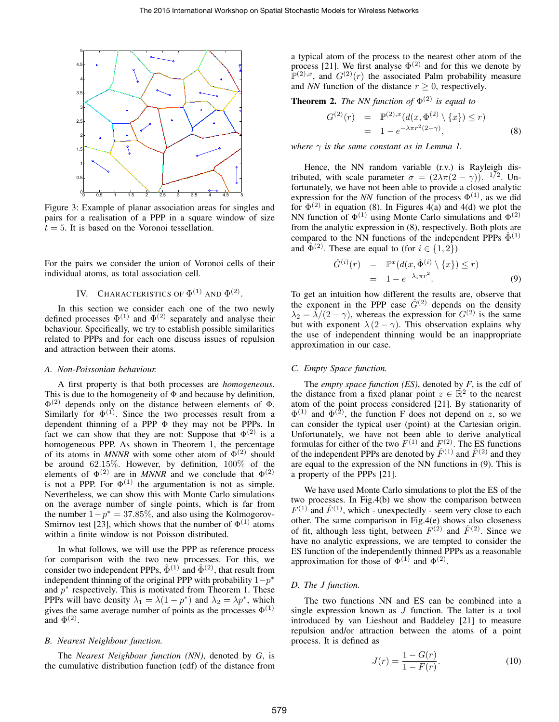

Figure 3: Example of planar association areas for singles and pairs for a realisation of a PPP in a square window of size  $t = 5$ . It is based on the Voronoi tessellation.

For the pairs we consider the union of Voronoi cells of their individual atoms, as total association cell.

# IV. CHARACTERISTICS OF  $\Phi^{(1)}$  and  $\Phi^{(2)}$ .

In this section we consider each one of the two newly defined processes  $\Phi^{(1)}$  and  $\Phi^{(2)}$  separately and analyse their behaviour. Specifically, we try to establish possible similarities related to PPPs and for each one discuss issues of repulsion and attraction between their atoms.

#### *A. Non-Poissonian behaviour.*

A first property is that both processes are *homogeneous*. This is due to the homogeneity of  $\Phi$  and because by definition,  $\Phi^{(2)}$  depends only on the distance between elements of  $\Phi$ . Similarly for  $\Phi^{(1)}$ . Since the two processes result from a dependent thinning of a PPP Φ they may not be PPPs. In fact we can show that they are not: Suppose that  $\Phi^{(2)}$  is a homogeneous PPP. As shown in Theorem 1, the percentage of its atoms in *MNNR* with some other atom of  $\Phi^{(2)}$  should be around 62.15%. However, by definition, 100% of the elements of  $\Phi^{(2)}$  are in *MNNR* and we conclude that  $\Phi^{(2)}$ is not a PPP. For  $\Phi^{(1)}$  the argumentation is not as simple. Nevertheless, we can show this with Monte Carlo simulations on the average number of single points, which is far from the number  $1-p^* = 37.85\%$ , and also using the Kolmogorov-Smirnov test [23], which shows that the number of  $\Phi^{(1)}$  atoms within a finite window is not Poisson distributed.

In what follows, we will use the PPP as reference process for comparison with the two new processes. For this, we consider two independent PPPs,  $\hat{\Phi}^{(1)}$  and  $\hat{\Phi}^{(2)}$ , that result from independent thinning of the original PPP with probability  $1-p^*$ and  $p^*$  respectively. This is motivated from Theorem 1. These PPPs will have density  $\lambda_1 = \lambda(1 - p^*)$  and  $\lambda_2 = \lambda p^*$ , which gives the same average number of points as the processes  $\Phi^{(1)}$ and  $\Phi^{(2)}$ .

# *B. Nearest Neighbour function.*

The *Nearest Neighbour function (NN)*, denoted by *G*, is the cumulative distribution function (cdf) of the distance from a typical atom of the process to the nearest other atom of the process [21]. We first analyse  $\Phi^{(2)}$  and for this we denote by  $\mathbb{P}^{(2),x}$ , and  $G^{(2)}(r)$  the associated Palm probability measure and *NN* function of the distance  $r \geq 0$ , respectively.

**Theorem 2.** The NN function of  $\Phi^{(2)}$  is equal to

$$
G^{(2)}(r) = \mathbb{P}^{(2),x}(d(x, \Phi^{(2)} \setminus \{x\}) \le r)
$$
  
= 1 - e<sup>-\lambda\pi r<sup>2</sup>(2-\gamma)</sup>, (8)

*where*  $\gamma$  *is the same constant as in Lemma 1.* 

Hence, the NN random variable (r.v.) is Rayleigh distributed, with scale parameter  $\sigma = (2\lambda\pi(2-\gamma))$ . -172. Unfortunately, we have not been able to provide a closed analytic expression for the *NN* function of the process  $\Phi^{(1)}$ , as we did for  $\Phi^{(2)}$  in equation (8). In Figures 4(a) and 4(d) we plot the NN function of  $\Phi^{(1)}$  using Monte Carlo simulations and  $\Phi^{(2)}$ from the analytic expression in (8), respectively. Both plots are compared to the NN functions of the independent PPPs  $\Phi^{(1)}$ and  $\hat{\Phi}^{(2)}$ . These are equal to (for  $i \in \{1,2\}$ )

$$
\hat{G}^{(i)}(r) = \mathbb{P}^x(d(x, \hat{\Phi}^{(i)} \setminus \{x\}) \le r)
$$
  
= 1 - e^{-\lambda\_i \pi r^2}. (9)

To get an intuition how different the results are, observe that the exponent in the PPP case  $\hat{G}^{(2)}$  depends on the density  $\lambda_2 = \lambda/(2-\gamma)$ , whereas the expression for  $G^{(2)}$  is the same but with exponent  $\lambda (2 - \gamma)$ . This observation explains why the use of independent thinning would be an inappropriate approximation in our case.

#### *C. Empty Space function.*

The *empty space function (ES)*, denoted by *F*, is the cdf of the distance from a fixed planar point  $z \in \mathbb{R}^2$  to the nearest atom of the point process considered [21]. By stationarity of  $\Phi^{(1)}$  and  $\Phi^{(2)}$ , the function F does not depend on z, so we can consider the typical user (point) at the Cartesian origin. Unfortunately, we have not been able to derive analytical formulas for either of the two  $F^{(1)}$  and  $F^{(2)}$ . The ES functions of the independent PPPs are denoted by  $\hat{F}^{(1)}$  and  $\hat{F}^{(2)}$  and they are equal to the expression of the NN functions in (9). This is a property of the PPPs [21].

We have used Monte Carlo simulations to plot the ES of the two processes. In Fig.4(b) we show the comparison between  $F^{(1)}$  and  $\hat{F}^{(1)}$ , which - unexpectedly - seem very close to each other. The same comparison in Fig.4(e) shows also closeness of fit, although less tight, between  $F^{(2)}$  and  $\hat{F}^{(2)}$ . Since we have no analytic expressions, we are tempted to consider the ES function of the independently thinned PPPs as a reasonable approximation for those of  $\Phi^{(1)}$  and  $\Phi^{(2)}$ .

## *D. The J function.*

The two functions NN and ES can be combined into a single expression known as  $J$  function. The latter is a tool introduced by van Lieshout and Baddeley [21] to measure repulsion and/or attraction between the atoms of a point process. It is defined as

$$
J(r) = \frac{1 - G(r)}{1 - F(r)}.
$$
 (10)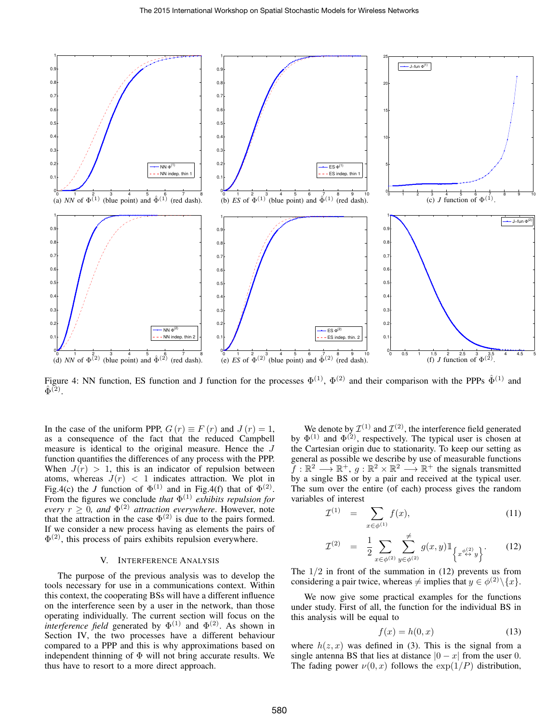

Figure 4: NN function, ES function and J function for the processes  $\Phi^{(1)}$ ,  $\Phi^{(2)}$  and their comparison with the PPPs  $\hat{\Phi}^{(1)}$  and  $\hat{\Phi}^{(2)}$ .

In the case of the uniform PPP,  $G(r) \equiv F(r)$  and  $J(r) = 1$ , as a consequence of the fact that the reduced Campbell measure is identical to the original measure. Hence the J function quantifies the differences of any process with the PPP. When  $J(r) > 1$ , this is an indicator of repulsion between atoms, whereas  $J(r) < 1$  indicates attraction. We plot in Fig.4(c) the *J* function of  $\Phi^{(1)}$  and in Fig.4(f) that of  $\Phi^{(2)}$ . From the figures we conclude *that*  $\Phi^{(1)}$  *exhibits repulsion for every*  $r \geq 0$ , and  $\Phi^{(2)}$  attraction everywhere. However, note that the attraction in the case  $\Phi^{(2)}$  is due to the pairs formed. If we consider a new process having as elements the pairs of  $\Phi^{(2)}$ , this process of pairs exhibits repulsion everywhere.

# V. INTERFERENCE ANALYSIS

The purpose of the previous analysis was to develop the tools necessary for use in a communications context. Within this context, the cooperating BSs will have a different influence on the interference seen by a user in the network, than those operating individually. The current section will focus on the *interference field* generated by  $\Phi^{(1)}$  and  $\Phi^{(2)}$ . As shown in Section IV, the two processes have a different behaviour compared to a PPP and this is why approximations based on independent thinning of  $\Phi$  will not bring accurate results. We thus have to resort to a more direct approach.

We denote by  $\mathcal{I}^{(1)}$  and  $\mathcal{I}^{(2)}$ , the interference field generated by  $\Phi^{(1)}$  and  $\Phi^{(2)}$ , respectively. The typical user is chosen at the Cartesian origin due to stationarity. To keep our setting as general as possible we describe by use of measurable functions  $f: \mathbb{R}^2 \longrightarrow \mathbb{R}^+, g: \mathbb{R}^2 \times \mathbb{R}^2 \longrightarrow \mathbb{R}^+$  the signals transmitted by a single BS or by a pair and received at the typical user. The sum over the entire (of each) process gives the random variables of interest

$$
\mathcal{I}^{(1)} = \sum_{x \in \phi^{(1)}} f(x), \tag{11}
$$

$$
\mathcal{I}^{(2)} = \frac{1}{2} \sum_{x \in \phi^{(2)}} \sum_{y \in \phi^{(2)}}^{\neq} g(x, y) \mathbb{1}_{\left\{ x^{\phi^{(2)}}_{\leftrightarrow} y \right\}}.
$$
 (12)

The  $1/2$  in front of the summation in  $(12)$  prevents us from considering a pair twice, whereas  $\neq$  implies that  $y \in \phi^{(2)} \setminus \{x\}.$ 

We now give some practical examples for the functions under study. First of all, the function for the individual BS in this analysis will be equal to

$$
f(x) = h(0, x) \tag{13}
$$

where  $h(z, x)$  was defined in (3). This is the signal from a single antenna BS that lies at distance  $|0 - x|$  from the user 0. The fading power  $\nu(0, x)$  follows the  $\exp(1/P)$  distribution,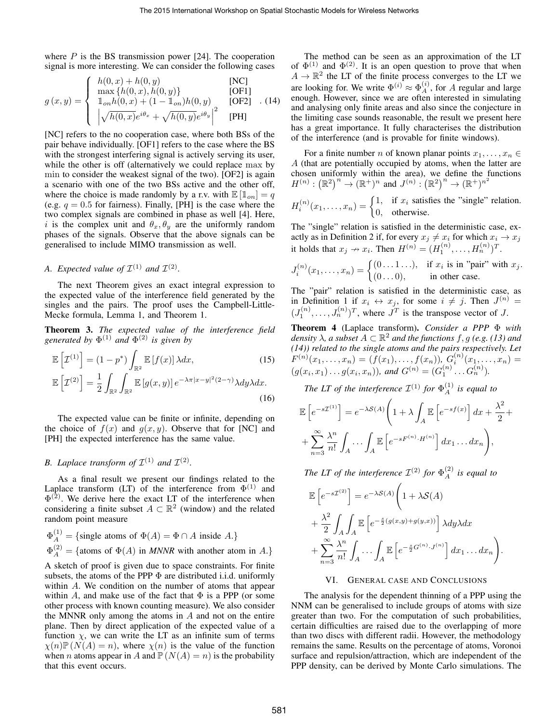where  $P$  is the BS transmission power [24]. The cooperation signal is more interesting. We can consider the following cases

$$
g(x,y) = \begin{cases} h(0,x) + h(0,y) & [\text{NC}] \\ \max\{h(0,x), h(0,y)\} & [\text{OF1}] \\ \mathbb{1}_{\text{on}}h(0,x) + (1 - \mathbb{1}_{\text{on}})h(0,y) & [\text{OF2}] \\ |\sqrt{h(0,x)}e^{i\theta_x} + \sqrt{h(0,y)}e^{i\theta_y}|^2 & [\text{PH}] \end{cases} (14)
$$

[NC] refers to the no cooperation case, where both BSs of the pair behave individually. [OF1] refers to the case where the BS with the strongest interfering signal is actively serving its user, while the other is off (alternatively we could replace max by min to consider the weakest signal of the two). [OF2] is again a scenario with one of the two BSs active and the other off, where the choice is made randomly by a r.v. with  $\mathbb{E} [\mathbb{1}_{on}] = q$ (e.g.  $q = 0.5$  for fairness). Finally, [PH] is the case where the two complex signals are combined in phase as well [4]. Here, i is the complex unit and  $\theta_x, \theta_y$  are the uniformly random phases of the signals. Observe that the above signals can be generalised to include MIMO transmission as well.

# *A.* Expected value of  $\mathcal{I}^{(1)}$  and  $\mathcal{I}^{(2)}$ .

The next Theorem gives an exact integral expression to the expected value of the interference field generated by the singles and the pairs. The proof uses the Campbell-Little-Mecke formula, Lemma 1, and Theorem 1.

Theorem 3. *The expected value of the interference field generated by* Φ (1) *and* Φ (2) *is given by*

$$
\mathbb{E}\left[\mathcal{I}^{(1)}\right] = (1 - p^*) \int_{\mathbb{R}^2} \mathbb{E}\left[f(x)\right] \lambda dx, \qquad (15)
$$

$$
\mathbb{E}\left[\mathcal{I}^{(2)}\right] = \frac{1}{\pi} \int_{\mathbb{R}^2} \mathbb{E}\left[q(x, y)\right] e^{-\lambda \pi |x - y|^2 (2 - \gamma)} \lambda dy \lambda dx.
$$

$$
\mathcal{L}\left[\mathcal{I}^{(2)}\right] = \frac{1}{2} \int_{\mathbb{R}^2} \int_{\mathbb{R}^2} \mathbb{E}\left[g(x,y)\right] e^{-\lambda \pi |x-y|^2 (2-\gamma)} \lambda dy \lambda dx. \tag{16}
$$

The expected value can be finite or infinite, depending on the choice of  $f(x)$  and  $g(x, y)$ . Observe that for [NC] and [PH] the expected interference has the same value.

# *B. Laplace transform of*  $\mathcal{I}^{(1)}$  *and*  $\mathcal{I}^{(2)}$ *.*

As a final result we present our findings related to the Laplace transform (LT) of the interference from  $\Phi^{(1)}$  and  $\Phi^{(2)}$ . We derive here the exact LT of the interference when considering a finite subset  $A \subset \mathbb{R}^2$  (window) and the related random point measure

$$
\Phi_A^{(1)} = \{\text{single atoms of } \Phi(A) = \Phi \cap A \text{ inside } A.\}
$$
  

$$
\Phi_A^{(2)} = \{\text{atoms of } \Phi(A) \text{ in } MNNR \text{ with another atom in } A.\}
$$

A sketch of proof is given due to space constraints. For finite subsets, the atoms of the PPP  $\Phi$  are distributed i.i.d. uniformly within A. We condition on the number of atoms that appear within A, and make use of the fact that  $\Phi$  is a PPP (or some other process with known counting measure). We also consider the MNNR only among the atoms in  $A$  and not on the entire plane. Then by direct application of the expected value of a function  $\chi$ , we can write the LT as an infinite sum of terms  $\chi(n)\mathbb{P}(N(A) = n)$ , where  $\chi(n)$  is the value of the function when *n* atoms appear in A and  $P(N(A) = n)$  is the probability that this event occurs.

The method can be seen as an approximation of the LT of  $\Phi^{(1)}$  and  $\Phi^{(2)}$ . It is an open question to prove that when  $A \to \mathbb{R}^2$  the LT of the finite process converges to the LT we are looking for. We write  $\Phi^{(i)} \approx \Phi^{(i)}_A$ , for A regular and large enough. However, since we are often interested in simulating and analysing only finite areas and also since the conjecture in the limiting case sounds reasonable, the result we present here has a great importance. It fully characterises the distribution of the interference (and is provable for finite windows).

For a finite number *n* of known planar points  $x_1, \ldots, x_n \in$ A (that are potentially occupied by atoms, when the latter are chosen uniformly within the area), we define the functions  $H^{(n)}: \left(\mathbb{R}^2\right)^n \to \left(\mathbb{R}^+\right)^n$  and  $J^{(n)}: \left(\mathbb{R}^2\right)^n \to \left(\mathbb{R}^+\right)^{n^2}$ 

$$
H_i^{(n)}(x_1,\ldots,x_n) = \begin{cases} 1, & \text{if } x_i \text{ satisfies the "single" relation.} \\ 0, & \text{otherwise.} \end{cases}
$$

The "single" relation is satisfied in the deterministic case, exactly as in Definition 2 if, for every  $x_j \neq x_i$  for which  $x_i \to x_j$ it holds that  $x_j \nightharpoonup x_i$ . Then  $H^{(n)} = (H_1^{(n)}, \ldots, H_n^{(n)})^T$ .

$$
J_i^{(n)}(x_1,\ldots,x_n) = \begin{cases} (0\ldots1\ldots), & \text{if } x_i \text{ is in "pair" with } x_j. \\ (0\ldots0), & \text{in other case.} \end{cases}
$$

The "pair" relation is satisfied in the deterministic case, as in Definition 1 if  $x_i \leftrightarrow x_j$ , for some  $i \neq j$ . Then  $J^{(n)} =$  $(J_1^{(n)},..., J_n^{(n)})^T$ , where  $J^T$  is the transpose vector of J.

Theorem 4 (Laplace transform). *Consider a PPP* Φ *with density*  $\lambda$ , a subset  $A \subset \mathbb{R}^2$  and the functions f, g (e.g. (13) and *(14)) related to the single atoms and the pairs respectively. Let*  $F^{(n)}(x_1,\ldots,x_n)=(f(x_1),\ldots,f(x_n)),\ G^{(n)}_i(x_1,\ldots,x_n)=$  $(g(x_i, x_1) \dots g(x_i, x_n))$ *, and*  $G^{(n)} = (G_1^{(n)} \dots G_n^{(n)})$ *.* 

The LT of the interference  $\mathcal{I}^{(1)}$  for  $\Phi_A^{(1)}$  is equal to

$$
\mathbb{E}\left[e^{-s\mathcal{I}^{(1)}}\right] = e^{-\lambda S(A)} \left(1 + \lambda \int_A \mathbb{E}\left[e^{-s f(x)}\right] dx + \frac{\lambda^2}{2} + \lambda^2 \int_A \mathbb{E}\left[e^{-s f(x)} H^{(n)}\right] dx_1 \dots dx_n\right),
$$

The LT of the interference  $\mathcal{I}^{(2)}$  for  $\Phi_A^{(2)}$  is equal to

$$
\mathbb{E}\left[e^{-s\mathcal{I}^{(2)}}\right] = e^{-\lambda S(A)}\left(1 + \lambda S(A)\right)
$$

$$
+ \frac{\lambda^2}{2} \int_A \int_A \mathbb{E}\left[e^{-\frac{s}{2}(g(x,y) + g(y,x))}\right] \lambda dy \lambda dx
$$

$$
+ \sum_{n=3}^{\infty} \frac{\lambda^n}{n!} \int_A \cdots \int_A \mathbb{E}\left[e^{-\frac{s}{2}G^{(n)} \cdot J^{(n)}}\right] dx_1 \dots dx_n\right).
$$

## VI. GENERAL CASE AND CONCLUSIONS

The analysis for the dependent thinning of a PPP using the NNM can be generalised to include groups of atoms with size greater than two. For the computation of such probabilities, certain difficulties are raised due to the overlapping of more than two discs with different radii. However, the methodology remains the same. Results on the percentage of atoms, Voronoi surface and repulsion/attraction, which are independent of the PPP density, can be derived by Monte Carlo simulations. The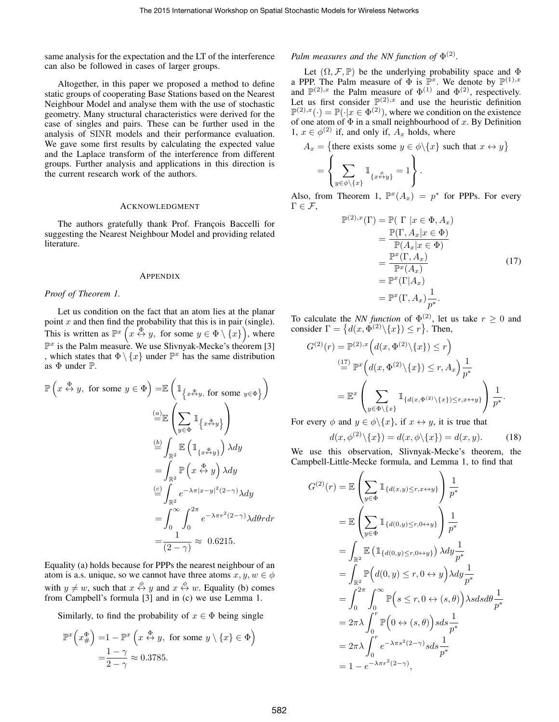same analysis for the expectation and the LT of the interference can also be followed in cases of larger groups.

Altogether, in this paper we proposed a method to define static groups of cooperating Base Stations based on the Nearest Neighbour Model and analyse them with the use of stochastic geometry. Many structural characteristics were derived for the case of singles and pairs. These can be further used in the analysis of SINR models and their performance evaluation. We gave some first results by calculating the expected value and the Laplace transform of the interference from different groups. Further analysis and applications in this direction is the current research work of the authors.

#### ACKNOWLEDGMENT

The authors gratefully thank Prof. François Baccelli for suggesting the Nearest Neighbour Model and providing related literature.

#### APPENDIX

#### *Proof of Theorem 1.*

Let us condition on the fact that an atom lies at the planar point  $x$  and then find the probability that this is in pair (single). This is written as  $\mathbb{P}^{x}\left(x \stackrel{\overline{\Phi}}{\leftrightarrow} y, \text{ for some } y \in \Phi \setminus \{x\} \right)$ , where  $\mathbb{P}^x$  is the Palm measure. We use Slivnyak-Mecke's theorem [3] , which states that  $\Phi \setminus \{x\}$  under  $\mathbb{P}^x$  has the same distribution as  $\Phi$  under  $\mathbb{P}$ .

$$
\mathbb{P}\left(x \stackrel{\Phi}{\leftrightarrow} y, \text{ for some } y \in \Phi\right) = \mathbb{E}\left(\mathbb{1}_{\left\{x \stackrel{\Phi}{\leftrightarrow} y, \text{ for some } y \in \Phi\right\}}\right)
$$

$$
\stackrel{(a)}{=} \mathbb{E}\left(\sum_{y \in \Phi} \mathbb{1}_{\left\{x \stackrel{\Phi}{\leftrightarrow} y\right\}}\right)
$$

$$
\stackrel{(b)}{=} \int_{\mathbb{R}^2} \mathbb{E}\left(\mathbb{1}_{\left\{x \stackrel{\Phi}{\leftrightarrow} y\right\}}\right) \lambda dy
$$

$$
= \int_{\mathbb{R}^2} \mathbb{P}\left(x \stackrel{\Phi}{\leftrightarrow} y\right) \lambda dy
$$

$$
\stackrel{(c)}{=} \int_{\mathbb{R}^2} e^{-\lambda \pi |x - y|^2 (2 - \gamma)} \lambda dy
$$

$$
= \int_0^\infty \int_0^{2\pi} e^{-\lambda \pi r^2 (2 - \gamma)} \lambda d\theta r dr
$$

$$
= \frac{1}{(2 - \gamma)} \approx 0.6215.
$$

Equality (a) holds because for PPPs the nearest neighbour of an atom is a.s. unique, so we cannot have three atoms  $x, y, w \in \phi$ with  $y \neq w$ , such that  $x \stackrel{\phi}{\leftrightarrow} y$  and  $x \stackrel{\phi}{\leftrightarrow} w$ . Equality (b) comes from Campbell's formula [3] and in (c) we use Lemma 1.

Similarly, to find the probability of  $x \in \Phi$  being single

$$
\mathbb{P}^{x}\left(x_{\#}^{\Phi}\right) = 1 - \mathbb{P}^{x}\left(x \stackrel{\Phi}{\leftrightarrow} y, \text{ for some } y \setminus \{x\} \in \Phi\right)
$$

$$
= \frac{1 - \gamma}{2 - \gamma} \approx 0.3785.
$$

# *Palm measures and the NN function of*  $\Phi^{(2)}$ *.*

Let  $(\Omega, \mathcal{F}, \mathbb{P})$  be the underlying probability space and  $\Phi$ a PPP. The Palm measure of  $\Phi$  is  $\mathbb{P}^x$ . We denote by  $\mathbb{P}^{(1),x}$ and  $\mathbb{P}^{(2),x}$  the Palm measure of  $\Phi^{(1)}$  and  $\Phi^{(2)}$ , respectively. Let us first consider  $\mathbb{P}^{(2),x}$  and use the heuristic definition  $\mathbb{P}^{(2),x}(\cdot) = \mathbb{P}(\cdot|x \in \Phi^{(2)})$ , where we condition on the existence of one atom of  $\Phi$  in a small neighbourhood of x. By Definition 1,  $x \in \phi^{(2)}$  if, and only if,  $A_x$  holds, where

$$
A_x = \{\text{there exists some } y \in \phi \setminus \{x\} \text{ such that } x \leftrightarrow y\}
$$

$$
= \left\{ \sum_{y \in \phi \setminus \{x\}} 1_{\{x \stackrel{\phi}{\leftrightarrow} y\}} = 1 \right\}.
$$

Also, from Theorem 1,  $\mathbb{P}^{x}(A_x) = p^*$  for PPPs. For every  $\Gamma \in \mathcal{F}$ ,

$$
\mathbb{P}^{(2),x}(\Gamma) = \mathbb{P}(\Gamma \mid x \in \Phi, A_x)
$$
  
\n
$$
= \frac{\mathbb{P}(\Gamma, A_x | x \in \Phi)}{\mathbb{P}(A_x | x \in \Phi)}
$$
  
\n
$$
= \frac{\mathbb{P}^x(\Gamma, A_x)}{\mathbb{P}^x(A_x)} \qquad (17)
$$
  
\n
$$
= \mathbb{P}^x(\Gamma | A_x)
$$
  
\n
$$
= \mathbb{P}^x(\Gamma, A_x) \frac{1}{p^*}.
$$

To calculate the *NN function* of  $\Phi^{(2)}$ , let us take  $r \geq 0$  and consider  $\Gamma = \{ d(x, \Phi^{(2)} \setminus \{x\}) \le r \}.$  Then,

$$
G^{(2)}(r) = \mathbb{P}^{(2),x} \left( d(x, \Phi^{(2)} \setminus \{x\}) \le r \right)
$$
  

$$
\stackrel{(17)}{=} \mathbb{P}^x \left( d(x, \Phi^{(2)} \setminus \{x\}) \le r, A_x \right) \frac{1}{p^*}
$$
  

$$
= \mathbb{E}^x \left( \sum_{y \in \Phi \setminus \{x\}} \mathbb{1}_{\{d(x, \Phi^{(2)} \setminus \{x\}) \le r, x \leftrightarrow y\}} \right) \frac{1}{p^*}.
$$

For every  $\phi$  and  $y \in \phi \backslash \{x\}$ , if  $x \leftrightarrow y$ , it is true that

$$
d(x, \phi^{(2)} \setminus \{x\}) = d(x, \phi \setminus \{x\}) = d(x, y). \tag{18}
$$

We use this observation, Slivnyak-Mecke's theorem, the Campbell-Little-Mecke formula, and Lemma 1, to find that

$$
G^{(2)}(r) = \mathbb{E}\left(\sum_{y \in \Phi} \mathbb{1}_{\{d(x,y) \le r, x \leftrightarrow y\}}\right) \frac{1}{p^*}
$$
  
\n
$$
= \mathbb{E}\left(\sum_{y \in \Phi} \mathbb{1}_{\{d(0,y) \le r, 0 \leftrightarrow y\}}\right) \frac{1}{p^*}
$$
  
\n
$$
= \int_{\mathbb{R}^2} \mathbb{E}\left(\mathbb{1}_{\{d(0,y) \le r, 0 \leftrightarrow y\}}\right) \lambda dy \frac{1}{p^*}
$$
  
\n
$$
= \int_{\mathbb{R}^2} \mathbb{P}\left(d(0, y) \le r, 0 \leftrightarrow y\right) \lambda dy \frac{1}{p^*}
$$
  
\n
$$
= \int_0^{2\pi} \int_0^{\infty} \mathbb{P}\left(s \le r, 0 \leftrightarrow (s, \theta)\right) \lambda s ds d\theta \frac{1}{p^*}
$$
  
\n
$$
= 2\pi \lambda \int_0^r \mathbb{P}\left(0 \leftrightarrow (s, \theta)\right) s ds \frac{1}{p^*}
$$
  
\n
$$
= 2\pi \lambda \int_0^r e^{-\lambda \pi s^2 (2-\gamma)} s ds \frac{1}{p^*}
$$
  
\n
$$
= 1 - e^{-\lambda \pi r^2 (2-\gamma)},
$$